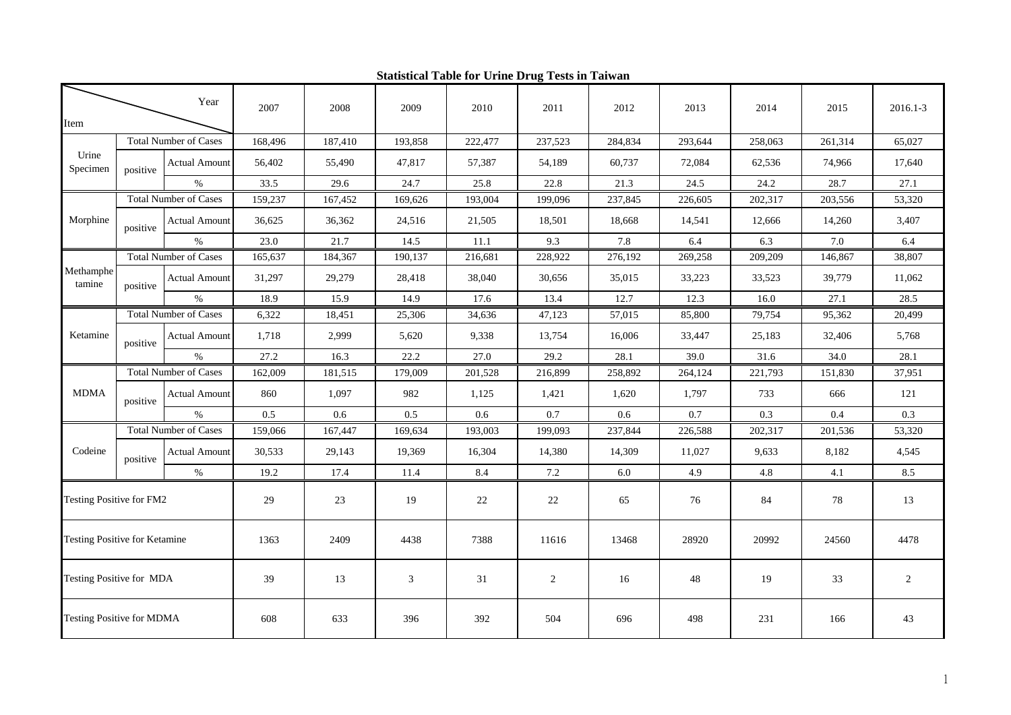| Item                             |                              | Year                 | 2007    | 2008    | 2009    | 2010    | 2011    | 2012    | 2013    | 2014    | 2015    | 2016.1-3 |
|----------------------------------|------------------------------|----------------------|---------|---------|---------|---------|---------|---------|---------|---------|---------|----------|
| <b>Total Number of Cases</b>     |                              | 168,496              | 187,410 | 193,858 | 222,477 | 237,523 | 284,834 | 293,644 | 258,063 | 261,314 | 65,027  |          |
| Urine<br>Specimen                |                              |                      |         |         |         |         |         |         |         |         |         |          |
|                                  | positive                     | <b>Actual Amount</b> | 56,402  | 55,490  | 47,817  | 57,387  | 54,189  | 60,737  | 72,084  | 62,536  | 74,966  | 17,640   |
|                                  |                              | $\%$                 | 33.5    | 29.6    | 24.7    | 25.8    | 22.8    | 21.3    | 24.5    | 24.2    | 28.7    | 27.1     |
| Morphine                         | <b>Total Number of Cases</b> |                      | 159,237 | 167,452 | 169,626 | 193,004 | 199,096 | 237,845 | 226,605 | 202,317 | 203,556 | 53,320   |
|                                  | positive                     | <b>Actual Amount</b> | 36,625  | 36,362  | 24,516  | 21,505  | 18,501  | 18,668  | 14,541  | 12,666  | 14,260  | 3,407    |
|                                  |                              | $\%$                 | 23.0    | 21.7    | 14.5    | 11.1    | 9.3     | 7.8     | 6.4     | 6.3     | 7.0     | 6.4      |
| Methamphe<br>tamine              | <b>Total Number of Cases</b> |                      | 165,637 | 184,367 | 190,137 | 216,681 | 228,922 | 276,192 | 269,258 | 209,209 | 146,867 | 38,807   |
|                                  | positive                     | <b>Actual Amount</b> | 31,297  | 29,279  | 28,418  | 38,040  | 30,656  | 35,015  | 33,223  | 33,523  | 39,779  | 11,062   |
|                                  |                              | $\%$                 | 18.9    | 15.9    | 14.9    | 17.6    | 13.4    | 12.7    | 12.3    | 16.0    | 27.1    | 28.5     |
| Ketamine                         | <b>Total Number of Cases</b> |                      | 6,322   | 18,451  | 25,306  | 34,636  | 47,123  | 57,015  | 85,800  | 79,754  | 95,362  | 20,499   |
|                                  | positive                     | <b>Actual Amount</b> | 1,718   | 2,999   | 5,620   | 9,338   | 13,754  | 16,006  | 33,447  | 25,183  | 32,406  | 5,768    |
|                                  |                              | %                    | 27.2    | 16.3    | 22.2    | 27.0    | 29.2    | 28.1    | 39.0    | 31.6    | 34.0    | 28.1     |
| <b>MDMA</b>                      | <b>Total Number of Cases</b> |                      | 162,009 | 181,515 | 179,009 | 201,528 | 216,899 | 258,892 | 264,124 | 221,793 | 151,830 | 37,951   |
|                                  | positive                     | <b>Actual Amount</b> | 860     | 1,097   | 982     | 1,125   | 1,421   | 1,620   | 1,797   | 733     | 666     | 121      |
|                                  |                              | $\%$                 | 0.5     | 0.6     | 0.5     | 0.6     | 0.7     | 0.6     | 0.7     | 0.3     | 0.4     | 0.3      |
| Codeine                          | <b>Total Number of Cases</b> |                      | 159,066 | 167,447 | 169,634 | 193,003 | 199,093 | 237,844 | 226,588 | 202,317 | 201,536 | 53,320   |
|                                  | positive                     | <b>Actual Amount</b> | 30,533  | 29,143  | 19,369  | 16,304  | 14,380  | 14,309  | 11,027  | 9,633   | 8,182   | 4,545    |
|                                  |                              | $\%$                 | 19.2    | 17.4    | 11.4    | 8.4     | 7.2     | 6.0     | 4.9     | 4.8     | 4.1     | 8.5      |
| Testing Positive for FM2         |                              |                      | 29      | 23      | 19      | 22      | $22\,$  | 65      | 76      | 84      | 78      | 13       |
| Testing Positive for Ketamine    |                              |                      | 1363    | 2409    | 4438    | 7388    | 11616   | 13468   | 28920   | 20992   | 24560   | 4478     |
| Testing Positive for MDA         |                              |                      | 39      | 13      | 3       | 31      | 2       | 16      | 48      | 19      | 33      | 2        |
| <b>Testing Positive for MDMA</b> |                              |                      | 608     | 633     | 396     | 392     | 504     | 696     | 498     | 231     | 166     | 43       |

**Statistical Table for Urine Drug Tests in Taiwan**